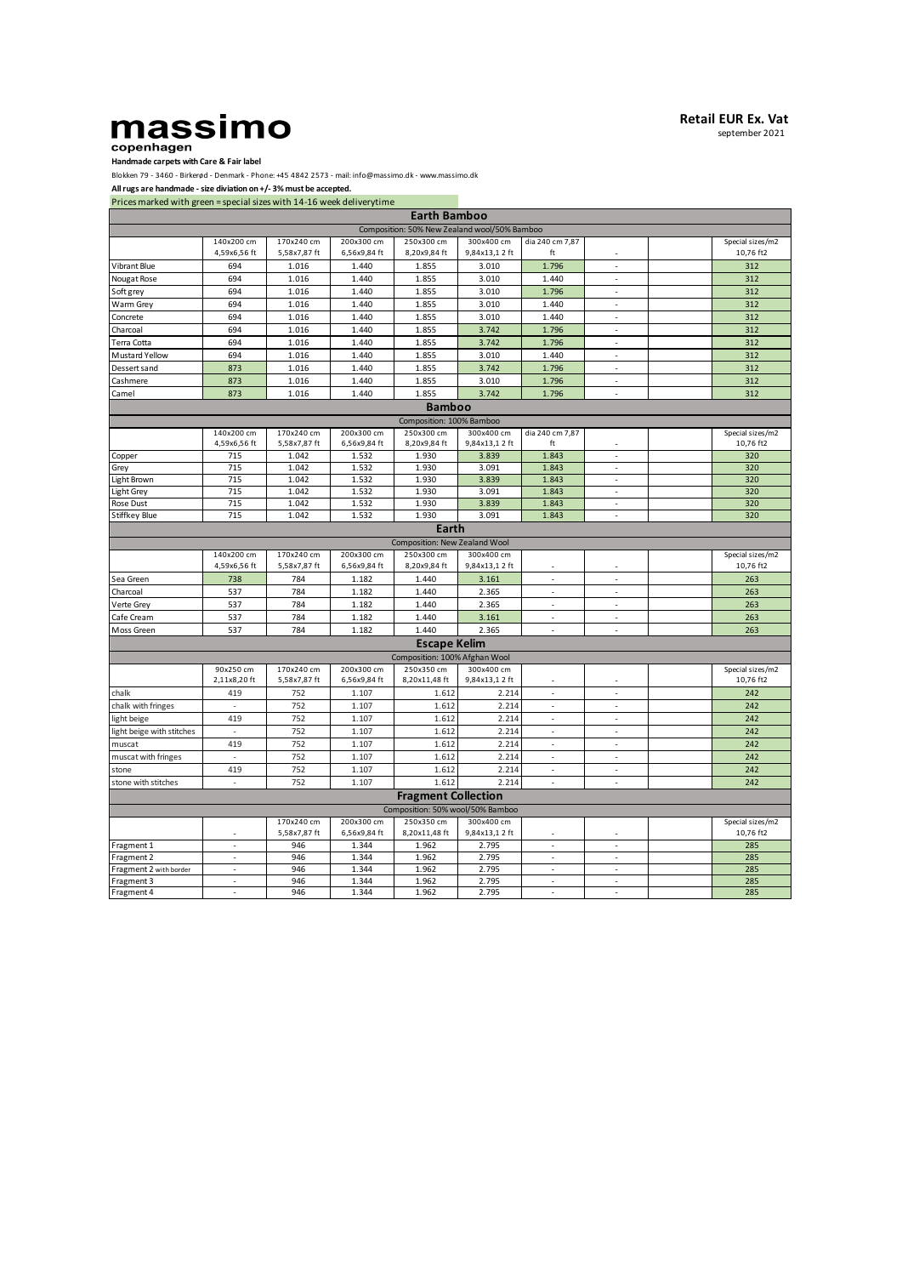## **Handmade carpets with Care & Fair label**

Blokken 79 - 3460 - Birkerød - Denmark - Phone: +45 4842 2573 - mail: info@massimo.dk - www.massimo.dk

**All rugs are handmade - size diviation on +/- 3% must be accepted.**

Prices marked with green = special sizes with 14-16 week deliverytime

| <b>Earth Bamboo</b>      |                                  |                            |                            |                                              |                             |                          |                          |  |                               |
|--------------------------|----------------------------------|----------------------------|----------------------------|----------------------------------------------|-----------------------------|--------------------------|--------------------------|--|-------------------------------|
|                          |                                  |                            |                            | Composition: 50% New Zealand wool/50% Bamboo |                             |                          |                          |  |                               |
|                          | 140x200 cm                       | 170x240 cm                 | 200x300 cm                 | 250x300 cm                                   | 300x400 cm                  | dia 240 cm 7,87          |                          |  | Special sizes/m2              |
|                          | 4,59x6,56 ft                     | 5,58x7,87 ft               | 6,56x9,84 ft               | 8,20x9,84 ft                                 | 9,84x13,12 ft               | ft                       |                          |  | 10,76 ft2                     |
| Vibrant Blue             | 694                              | 1.016                      | 1.440                      | 1.855                                        | 3.010                       | 1.796                    | ÷.                       |  | 312                           |
| Nougat Rose              | 694                              | 1.016                      | 1.440                      | 1.855                                        | 3.010                       | 1.440                    |                          |  | 312                           |
| Soft grey                | 694                              | 1.016                      | 1.440                      | 1.855                                        | 3.010                       | 1.796                    | J.                       |  | 312                           |
| Warm Grey                | 694                              | 1.016                      | 1.440                      | 1.855                                        | 3.010                       | 1.440                    | ×,                       |  | 312                           |
| Concrete                 | 694                              | 1.016                      | 1.440                      | 1.855                                        | 3.010                       | 1.440                    | $\sim$                   |  | 312                           |
| Charcoal                 | 694                              | 1.016                      | 1.440                      | 1.855                                        | 3.742                       | 1.796                    | ÷,                       |  | 312                           |
| Terra Cotta              | 694                              | 1.016                      | 1.440                      | 1.855                                        | 3.742                       | 1.796                    | ×.                       |  | 312                           |
| Mustard Yellow           | 694                              | 1.016                      | 1.440                      | 1.855                                        | 3.010                       | 1.440                    | ×,                       |  | 312                           |
| Dessert sand             | 873                              | 1.016                      | 1.440                      | 1.855                                        | 3.742                       | 1.796                    | $\bar{z}$                |  | 312                           |
| Cashmere                 | 873                              | 1.016                      | 1.440                      | 1.855                                        | 3.010                       | 1.796                    | ä,                       |  | 312                           |
| Camel                    | 873                              | 1.016                      | 1.440                      | 1.855                                        | 3.742                       | 1.796                    | J.                       |  | 312                           |
|                          |                                  |                            |                            | Bamboo                                       |                             |                          |                          |  |                               |
|                          |                                  |                            |                            | Composition: 100% Bamboo                     |                             |                          |                          |  |                               |
|                          | 140x200 cm                       | 170x240 cm                 | 200x300 cm                 | 250x300 cm                                   | 300x400 cm                  | dia 240 cm 7,87          |                          |  | Special sizes/m2              |
|                          | 4,59x6,56 ft                     | 5,58x7,87 ft               | 6,56x9,84 ft               | 8,20x9,84 ft                                 | 9,84x13,12 ft               | ft                       |                          |  | 10,76 ft2                     |
| Copper                   | 715                              | 1.042                      | 1.532                      | 1.930                                        | 3.839                       | 1.843                    | ×,                       |  | 320                           |
| Grey                     | 715                              | 1.042                      | 1.532                      | 1.930                                        | 3.091                       | 1.843                    | $\overline{\phantom{a}}$ |  | 320                           |
| Light Brown              | 715                              | 1.042                      | 1.532                      | 1.930                                        | 3.839                       | 1.843                    | ×.                       |  | 320                           |
| Light Grey               | 715                              | 1.042                      | 1.532                      | 1.930                                        | 3.091                       | 1.843                    | ×,                       |  | 320                           |
| Rose Dust                | 715                              | 1.042                      | 1.532                      | 1.930                                        | 3.839                       | 1.843                    | ×,                       |  | 320                           |
| Stiffkey Blue            | 715                              | 1.042                      | 1.532                      | 1.930                                        | 3.091                       | 1.843                    | ×,                       |  | 320                           |
|                          |                                  |                            |                            | Earth                                        |                             |                          |                          |  |                               |
|                          |                                  |                            |                            | Composition: New Zealand Wool                |                             |                          |                          |  |                               |
|                          | 140x200 cm<br>4,59x6,56 ft       | 170x240 cm<br>5,58x7,87 ft | 200x300 cm<br>6,56x9,84 ft | 250x300 cm<br>8,20x9,84 ft                   | 300x400 cm<br>9.84x13.12 ft | ×.                       |                          |  | Special sizes/m2<br>10,76 ft2 |
| Sea Green                | 738                              | 784                        | 1.182                      | 1.440                                        | 3.161                       | ł,                       | í.                       |  | 263                           |
| Charcoal                 | 537                              | 784                        | 1.182                      | 1.440                                        | 2.365                       | ÷.                       | ×.                       |  | 263                           |
| Verte Grey               | 537                              | 784                        | 1.182                      | 1.440                                        | 2.365                       | ł,                       | ÷,                       |  | 263                           |
| Cafe Cream               | 537                              | 784                        | 1.182                      | 1.440                                        | 3.161                       | ×.                       | ×                        |  | 263                           |
| Moss Green               | 537                              | 784                        | 1.182                      | 1.440                                        | 2.365                       |                          |                          |  | 263                           |
|                          |                                  |                            |                            |                                              |                             |                          |                          |  |                               |
|                          |                                  |                            |                            | <b>Escape Kelim</b>                          |                             |                          |                          |  |                               |
|                          |                                  |                            |                            | Composition: 100% Afghan Wool                |                             |                          |                          |  |                               |
|                          | 90x250 cm<br>2,11x8,20 ft        | 170x240 cm<br>5,58x7,87 ft | 200x300 cm<br>6,56x9,84 ft | 250x350 cm<br>8,20x11,48 ft                  | 300x400 cm<br>9,84x13,12 ft |                          |                          |  | Special sizes/m2<br>10,76 ft2 |
|                          |                                  |                            |                            |                                              | 2.214                       | ×,                       | J.                       |  | 242                           |
| chalk                    | 419<br>J.                        | 752                        | 1.107                      | 1.612                                        |                             | ×,                       | J.                       |  |                               |
| chalk with fringes       |                                  | 752                        | 1.107                      | 1.612                                        | 2.214                       |                          |                          |  | 242                           |
| light beige              | 419                              | 752                        | 1.107                      | 1.612                                        | 2.214                       | $\overline{\phantom{a}}$ | $\overline{\phantom{a}}$ |  | 242                           |
| ight beige with stitches | ×,                               | 752                        | 1.107                      | 1.612                                        | 2.214                       | ×                        | ×,                       |  | 242                           |
| muscat                   | 419                              | 752                        | 1.107                      | 1.612                                        | 2.214                       | L.                       | $\overline{a}$           |  | 242                           |
| muscat with fringes      | $\overline{\phantom{a}}$         | 752                        | 1.107                      | 1.612                                        | 2.214                       | $\overline{\phantom{a}}$ | $\sim$                   |  | 242                           |
| stone                    | 419                              | 752                        | 1.107                      | 1.612                                        | 2.214                       | ł,                       | ä,                       |  | 242                           |
| stone with stitches      | à,                               | 752                        | 1.107                      | 1.612                                        | 2.214                       | ×,                       | ×,                       |  | 242                           |
|                          |                                  |                            |                            | <b>Fragment Collection</b>                   |                             |                          |                          |  |                               |
|                          | Composition: 50% wool/50% Bamboo |                            |                            |                                              |                             |                          |                          |  |                               |
|                          |                                  | 170x240 cm                 | 200x300 cm                 | 250x350 cm                                   | 300x400 cm                  |                          |                          |  | Special sizes/m2              |
|                          |                                  | 5,58x7,87 ft               | 6,56x9,84 ft               | 8,20x11,48 ft                                | 9,84x13,12 ft               |                          |                          |  | 10,76 ft2                     |
| Fragment 1               | ÷,                               | 946                        | 1.344                      | 1.962                                        | 2.795                       | J.                       | J.                       |  | 285                           |
| Fragment 2               | ÷.                               | 946                        | 1.344                      | 1.962                                        | 2.795                       | ×                        | ×,                       |  | 285                           |
| Fragment 2 with border   | ×,                               | 946                        | 1.344                      | 1.962                                        | 2.795                       | ÷,                       | ×,                       |  | 285                           |
| Fragment 3               | $\overline{\phantom{a}}$         | 946                        | 1.344                      | 1.962                                        | 2.795                       | $\overline{\phantom{a}}$ | $\overline{\phantom{a}}$ |  | 285                           |
| Fragment 4               | i,                               | 946                        | 1.344                      | 1.962                                        | 2.795                       |                          |                          |  | 285                           |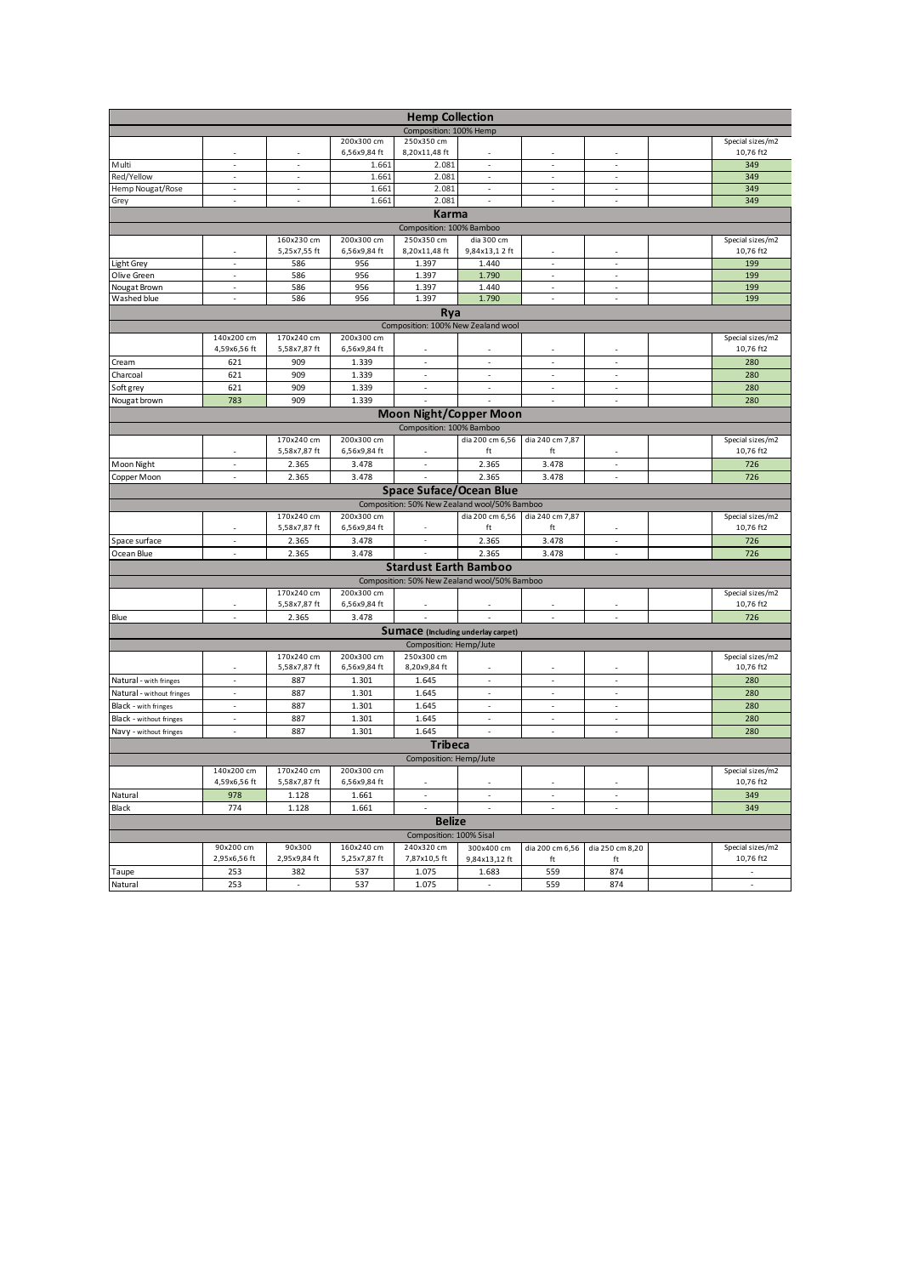|                             |                          |                          |              | <b>Hemp Collection</b>                       |                          |                          |                          |                               |
|-----------------------------|--------------------------|--------------------------|--------------|----------------------------------------------|--------------------------|--------------------------|--------------------------|-------------------------------|
|                             |                          |                          |              | Composition: 100% Hemp                       |                          |                          |                          |                               |
|                             |                          |                          | 200x300 cm   | 250x350 cm                                   |                          |                          |                          | Special sizes/m2              |
|                             |                          |                          | 6,56x9,84 ft | 8,20x11,48 ft                                |                          |                          |                          | 10,76 ft2                     |
| Multi                       | $\overline{\phantom{a}}$ | $\overline{\phantom{a}}$ | 1.661        | 2.081                                        | $\overline{\phantom{a}}$ | $\overline{\phantom{a}}$ | $\overline{\phantom{a}}$ | 349                           |
| Red/Yellow                  | $\sim$                   | $\sim$                   | 1.661        | 2.081                                        | $\sim$                   | $\sim$                   | $\sim$                   | 349                           |
| Hemp Nougat/Rose            | ä,                       | ÷,                       | 1.661        | 2.081                                        | ÷,                       | ÷,                       | $\overline{\phantom{a}}$ | 349                           |
| Grey                        | ×.                       | $\sim$                   | 1.661        | 2.081                                        | ×.                       | ÷,                       | ×.                       | 349                           |
|                             |                          |                          |              | Karma                                        |                          |                          |                          |                               |
|                             |                          |                          |              | Composition: 100% Bamboo                     |                          |                          |                          |                               |
|                             |                          | 160x230 cm               | 200x300 cm   | 250x350 cm                                   | dia 300 cm               |                          |                          | Special sizes/m2              |
|                             | ÷,                       | 5,25x7,55 ft             | 6,56x9,84 ft | 8,20x11,48 ft                                | 9,84x13,12 ft            | ÷,                       | ÷,                       | 10,76 ft2<br>199              |
| Light Grey                  | i,                       | 586<br>586               | 956<br>956   | 1.397<br>1.397                               | 1.440<br>1.790           | ł,                       | ÷                        | 199                           |
| Olive Green<br>Nougat Brown | $\sim$                   | 586                      | 956          | 1.397                                        | 1.440                    | $\overline{\phantom{a}}$ | $\overline{\phantom{a}}$ | 199                           |
| Washed blue                 | ÷,                       | 586                      | 956          | 1.397                                        | 1.790                    | ÷,                       | ÷,                       | 199                           |
|                             |                          |                          |              | Rya                                          |                          |                          |                          |                               |
|                             |                          |                          |              | Composition: 100% New Zealand wool           |                          |                          |                          |                               |
|                             | 140x200 cm               | 170x240 cm               | 200x300 cm   |                                              |                          |                          |                          | Special sizes/m2              |
|                             | 4,59x6,56 ft             | 5,58x7,87 ft             | 6,56x9,84 ft | J.                                           |                          |                          | J.                       | 10,76 ft2                     |
| Cream                       | 621                      | 909                      | 1.339        | ÷,                                           | ×,                       | J.                       | J.                       | 280                           |
| Charcoal                    | 621                      | 909                      | 1.339        | $\sim$                                       | ÷.                       | ÷.                       | ÷,                       | 280                           |
| Soft grey                   | 621                      | 909                      | 1.339        | J.                                           | ÷,                       | J.                       | ÷,                       | 280                           |
| Nougat brown                | 783                      | 909                      | 1.339        |                                              |                          | ×,                       | J.                       | 280                           |
|                             |                          |                          |              | <b>Moon Night/Copper Moon</b>                |                          |                          |                          |                               |
|                             |                          |                          |              |                                              |                          |                          |                          |                               |
|                             |                          | 170x240 cm               | 200x300 cm   | Composition: 100% Bamboo                     | dia 200 cm 6,56          |                          |                          |                               |
|                             |                          | 5,58x7,87 ft             | 6,56x9,84 ft |                                              | ft                       | dia 240 cm 7,87<br>ft    |                          | Special sizes/m2<br>10,76 ft2 |
| Moon Night                  | $\bar{z}$                | 2.365                    | 3.478        | $\sim$                                       | 2.365                    | 3.478                    | ÷,                       | 726                           |
| Copper Moon                 | L.                       | 2.365                    | 3.478        | J.                                           | 2.365                    | 3.478                    | J.                       | 726                           |
|                             |                          |                          |              | <b>Space Suface/Ocean Blue</b>               |                          |                          |                          |                               |
|                             |                          |                          |              | Composition: 50% New Zealand wool/50% Bamboo |                          |                          |                          |                               |
|                             |                          | 170x240 cm               | 200x300 cm   |                                              | dia 200 cm 6,56          | dia 240 cm 7,87          |                          | Special sizes/m2              |
|                             |                          | 5,58x7,87 ft             | 6,56x9,84 ft |                                              | ft                       | ft                       |                          | 10,76 ft2                     |
| Space surface               | ÷,                       | 2.365                    | 3.478        | $\overline{\phantom{a}}$                     | 2.365                    | 3.478                    | ÷,                       | 726                           |
| Ocean Blue                  | ÷.                       | 2.365                    | 3.478        |                                              | 2.365                    | 3.478                    | ÷,                       | 726                           |
|                             |                          |                          |              | <b>Stardust Earth Bamboo</b>                 |                          |                          |                          |                               |
|                             |                          |                          |              | Composition: 50% New Zealand wool/50% Bamboo |                          |                          |                          |                               |
|                             |                          | 170x240 cm               | 200x300 cm   |                                              |                          |                          |                          | Special sizes/m2              |
|                             |                          | 5,58x7,87 ft             | 6,56x9,84 ft |                                              |                          |                          | ÷,                       | 10,76 ft2                     |
| Blue                        | ÷.                       | 2.365                    | 3.478        | k,                                           |                          | J.                       | J.                       | 726                           |
|                             |                          |                          |              | <b>Sumace</b> (Including underlay carpet)    |                          |                          |                          |                               |
|                             |                          |                          |              | Composition: Hemp/Jute                       |                          |                          |                          |                               |
|                             |                          | 170x240 cm               | 200x300 cm   | 250x300 cm                                   |                          |                          |                          | Special sizes/m2              |
|                             | ä,                       | 5,58x7,87 ft             | 6,56x9,84 ft | 8,20x9,84 ft                                 |                          | ×.                       | ä,                       | 10,76 ft2                     |
| Natural - with fringes      | l.                       | 887                      | 1.301        | 1.645                                        | J.                       | J.                       | J.                       | 280                           |
| Natural - without fringes   | ä,                       | 887                      | 1.301        | 1.645                                        | ×,                       | ×                        | ×                        | 280                           |
| Black - with fringes        | ÷,                       | 887                      | 1.301        | 1.645                                        | ÷,                       | J.                       | J.                       | 280                           |
| Black - without fringes     | ä,                       | 887                      | 1.301        | 1.645                                        | $\overline{\phantom{a}}$ | l,                       | l,                       | 280                           |
| Navy - without fringes      | ÷,                       | 887                      | 1.301        | 1.645                                        | $\bar{z}$                | ÷,                       | ÷,                       | 280                           |
|                             |                          |                          |              | <b>Tribeca</b>                               |                          |                          |                          |                               |
|                             |                          |                          |              | Composition: Hemp/Jute                       |                          |                          |                          |                               |
|                             | 140x200 cm               | 170x240 cm               | 200x300 cm   |                                              |                          |                          |                          | Special sizes/m2              |
|                             | 4,59x6,56 ft             | 5,58x7,87 ft             | 6,56x9,84 ft | ÷.                                           | ×.                       | ×,                       | ÷.                       | 10,76 ft2                     |
| Natural                     | 978                      | 1.128                    | 1.661        | J.                                           | J.                       | J.                       | J.                       | 349                           |
| Black                       | 774                      | 1.128                    | 1.661        | J.                                           | J.                       | J.                       | J.                       | 349                           |
|                             |                          |                          |              | <b>Belize</b>                                |                          |                          |                          |                               |
|                             |                          |                          |              | Composition: 100% Sisal                      |                          |                          |                          |                               |
|                             | 90x200 cm                | 90x300                   | 160x240 cm   | 240x320 cm                                   | 300x400 cm               | dia 200 cm 6,56          | dia 250 cm 8,20          | Special sizes/m2              |
|                             | 2,95x6,56 ft             | 2,95x9,84 ft             | 5,25x7,87 ft | 7,87x10,5 ft                                 | 9,84x13,12 ft            | ft                       | ft                       | 10,76 ft2                     |
| Taupe                       | 253                      | 382                      | 537          | 1.075                                        | 1.683                    | 559                      | 874                      | ×,                            |
| Natural                     | 253                      | ÷.                       | 537          | 1.075                                        | ä,                       | 559                      | 874                      | ÷,                            |